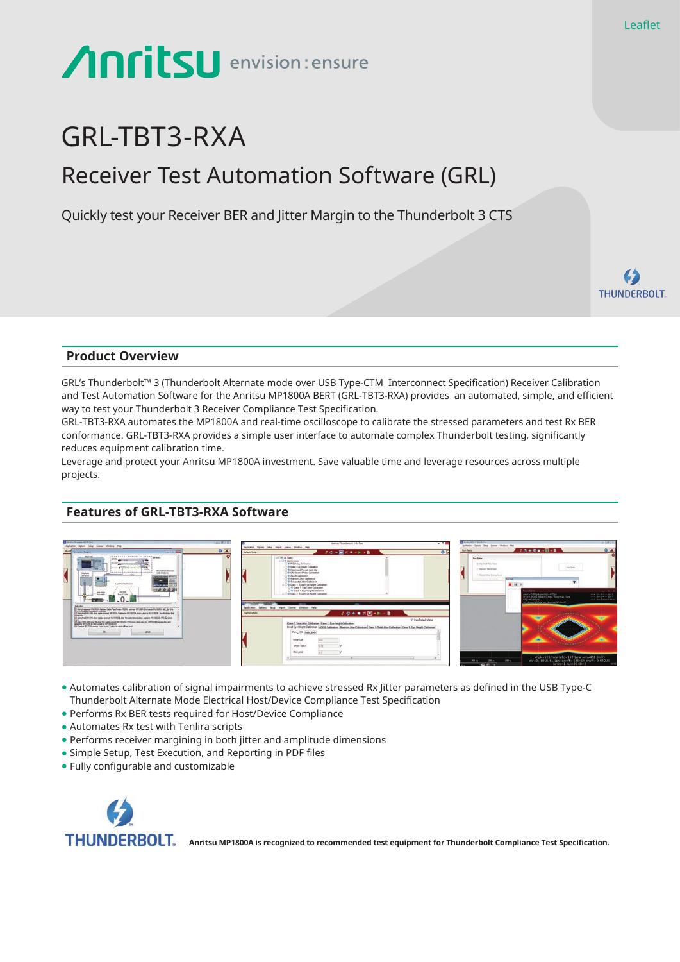# **Anritsu** envision: ensure

## GRL-TBT3-RXA

### Receiver Test Automation Software (GRL)

Quickly test your Receiver BER and Jitter Margin to the Thunderbolt 3 CTS



#### **Product Overview**

GRL's Thunderbolt™ 3 (Thunderbolt Alternate mode over USB Type-CTM Interconnect Specification) Receiver Calibration and Test Automation Software for the Anritsu MP1800A BERT (GRL-TBT3-RXA) provides an automated, simple, and efficient way to test your Thunderbolt 3 Receiver Compliance Test Specification.

GRL-TBT3-RXA automates the MP1800A and real-time oscilloscope to calibrate the stressed parameters and test Rx BER conformance. GRL-TBT3-RXA provides a simple user interface to automate complex Thunderbolt testing, significantly reduces equipment calibration time.

Leverage and protect your Anritsu MP1800A investment. Save valuable time and leverage resources across multiple projects.

#### **Features of GRL-TBT3-RXA Software**



- Automates calibration of signal impairments to achieve stressed Rx Jitter parameters as defined in the USB Type-C Thunderbolt Alternate Mode Electrical Host/Device Compliance Test Specification
- Performs Rx BER tests required for Host/Device Compliance
- Automates Rx test with Tenlira scripts
- Performs receiver margining in both jitter and amplitude dimensions
- Simple Setup, Test Execution, and Reporting in PDF files
- Fully configurable and customizable



**THUNDERBOLT.** Anritsu MP1800A is recognized to recommended test equipment for Thunderbolt Compliance Test Specification.